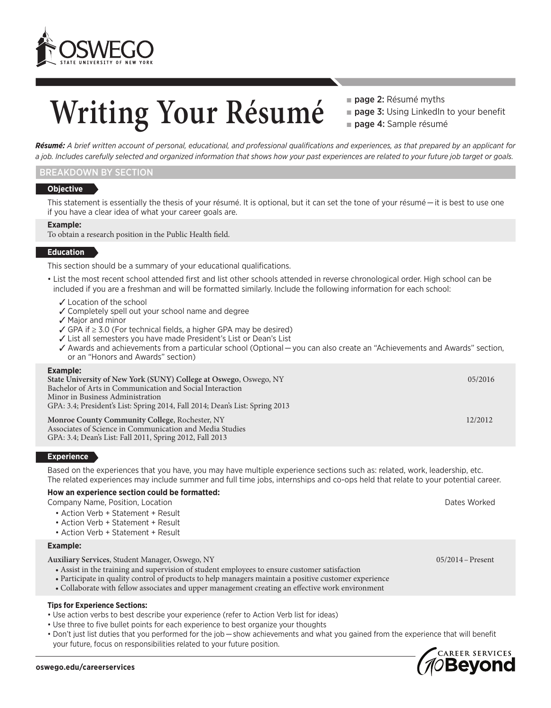

## Writing Your Résumé **Page 2: Résumé myths**

**page 3: Using LinkedIn to your benefit** page 4: Sample résumé

*Résumé: A brief written account of personal, educational, and professional qualifications and experiences, as that prepared by an applicant for a job. Includes carefully selected and organized information that shows how your past experiences are related to your future job target or goals.*

#### BREAKDOWN BY SECTION

#### **Objective**

This statement is essentially the thesis of your résumé. It is optional, but it can set the tone of your résumé — it is best to use one if you have a clear idea of what your career goals are.

#### **Example:**

To obtain a research position in the Public Health field.

#### **Education**

This section should be a summary of your educational qualifications.

- List the most recent school attended first and list other schools attended in reverse chronological order. High school can be included if you are a freshman and will be formatted similarly. Include the following information for each school:
	- ✓ Location of the school
	- ✓ Completely spell out your school name and degree
	- ✓ Major and minor
	- ✓ GPA if ≥ 3.0 (For technical fields, a higher GPA may be desired)
	- ✓ List all semesters you have made President's List or Dean's List
	- ✓ Awards and achievements from a particular school (Optional — you can also create an "Achievements and Awards" section, or an "Honors and Awards" section)

#### **Example:**

| State University of New York (SUNY) College at Oswego, Oswego, NY                                                                                                      | 05/2016 |
|------------------------------------------------------------------------------------------------------------------------------------------------------------------------|---------|
| Bachelor of Arts in Communication and Social Interaction                                                                                                               |         |
| Minor in Business Administration                                                                                                                                       |         |
| GPA: 3.4; President's List: Spring 2014, Fall 2014; Dean's List: Spring 2013                                                                                           |         |
| Monroe County Community College, Rochester, NY<br>Associates of Science in Communication and Media Studies<br>GPA: 3.4; Dean's List: Fall 2011, Spring 2012, Fall 2013 | 12/2012 |

#### **Experience**

Based on the experiences that you have, you may have multiple experience sections such as: related, work, leadership, etc. The related experiences may include summer and full time jobs, internships and co-ops held that relate to your potential career.

#### **How an experience section could be formatted:**

Company Name, Position, Location Dates Worked

- Action Verb + Statement + Result
- Action Verb + Statement + Result
- Action Verb + Statement + Result

#### **Example:**

**Auxiliary Services**, Student Manager, Oswego, NY 05/2014–Present

- Assist in the training and supervision of student employees to ensure customer satisfaction
- Participate in quality control of products to help managers maintain a positive customer experience
- Collaborate with fellow associates and upper management creating an effective work environment

#### **Tips for Experience Sections:**

- Use action verbs to best describe your experience (refer to Action Verb list for ideas)
- Use three to five bullet points for each experience to best organize your thoughts
- Don't just list duties that you performed for the job — show achievements and what you gained from the experience that will benefit your future, focus on responsibilities related to your future position.

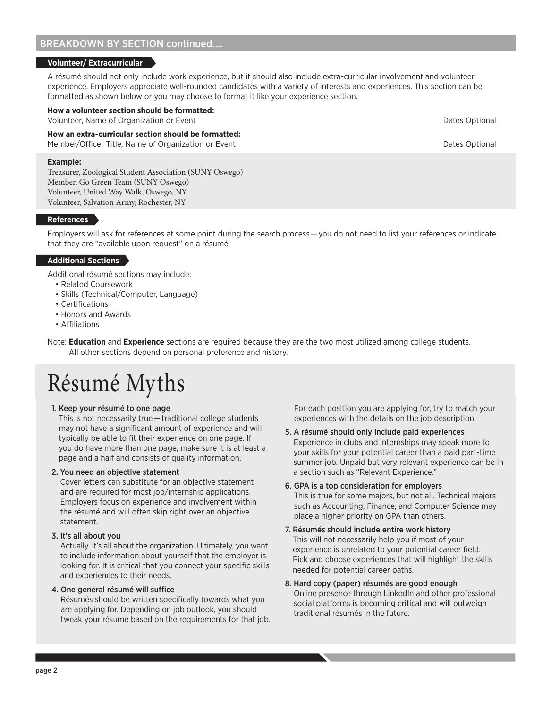#### BREAKDOWN BY SECTION continued....

#### **Volunteer/ Extracurricular**

A résumé should not only include work experience, but it should also include extra-curricular involvement and volunteer experience. Employers appreciate well-rounded candidates with a variety of interests and experiences. This section can be formatted as shown below or you may choose to format it like your experience section.

#### **How a volunteer section should be formatted:**

Volunteer, Name of Organization or Event Dates Optional Dates Optional Dates Optional

#### **How an extra-curricular section should be formatted:**

Member/Officer Title, Name of Organization or Event Dates Optional Dates Optional

#### **Example:**

Treasurer, Zoological Student Association (SUNY Oswego) Member, Go Green Team (SUNY Oswego) Volunteer, United Way Walk, Oswego, NY Volunteer, Salvation Army, Rochester, NY

#### **References**

Employers will ask for references at some point during the search process — you do not need to list your references or indicate that they are "available upon request" on a résumé.

#### **Additional Sections**

Additional résumé sections may include:

- Related Coursework
- Skills (Technical/Computer, Language)
- Certifications
- Honors and Awards
- Affiliations

Note: **Education** and **Experience** sections are required because they are the two most utilized among college students. All other sections depend on personal preference and history.

## Résumé Myths

#### 1. Keep your résumé to one page

This is not necessarily true — traditional college students may not have a significant amount of experience and will typically be able to fit their experience on one page. If you do have more than one page, make sure it is at least a page and a half and consists of quality information.

#### 2. You need an objective statement

Cover letters can substitute for an objective statement and are required for most job/internship applications. Employers focus on experience and involvement within the résumé and will often skip right over an objective statement.

#### 3. It's all about you

Actually, it's all about the organization. Ultimately, you want to include information about yourself that the employer is looking for. It is critical that you connect your specific skills and experiences to their needs.

#### 4. One general résumé will suffice

Résumés should be written specifically towards what you are applying for. Depending on job outlook, you should tweak your résumé based on the requirements for that job. For each position you are applying for, try to match your experiences with the details on the job description.

- 5. A résumé should only include paid experiences Experience in clubs and internships may speak more to your skills for your potential career than a paid part-time summer job. Unpaid but very relevant experience can be in a section such as "Relevant Experience."
- 6. GPA is a top consideration for employers This is true for some majors, but not all. Technical majors such as Accounting, Finance, and Computer Science may place a higher priority on GPA than others.
- 7. Résumés should include entire work history This will not necessarily help you if most of your experience is unrelated to your potential career field. Pick and choose experiences that will highlight the skills needed for potential career paths.
- 8. Hard copy (paper) résumés are good enough Online presence through LinkedIn and other professional social platforms is becoming critical and will outweigh traditional résumés in the future.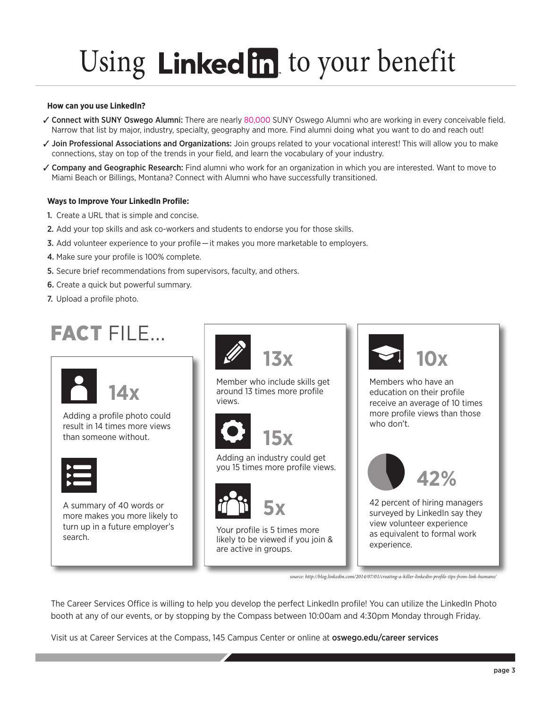# Using Linked in to your benefit

#### **How can you use LinkedIn?**

- ✓ Connect with SUNY Oswego Alumni: There are nearly 80,000 SUNY Oswego Alumni who are working in every conceivable field. Narrow that list by major, industry, specialty, geography and more. Find alumni doing what you want to do and reach out!
- ✓ Join Professional Associations and Organizations: Join groups related to your vocational interest! This will allow you to make connections, stay on top of the trends in your field, and learn the vocabulary of your industry.
- ✓ Company and Geographic Research: Find alumni who work for an organization in which you are interested. Want to move to Miami Beach or Billings, Montana? Connect with Alumni who have successfully transitioned.

#### **Ways to Improve Your LinkedIn Profile:**

- 1. Create a URL that is simple and concise.
- 2. Add your top skills and ask co-workers and students to endorse you for those skills.
- 3. Add volunteer experience to your profile — it makes you more marketable to employers.
- 4. Make sure your profile is 100% complete.
- 5. Secure brief recommendations from supervisors, faculty, and others.
- 6. Create a quick but powerful summary.
- 7. Upload a profile photo.

### FACT FILE...



Adding a profile photo could result in 14 times more views than someone without.



A summary of 40 words or more makes you more likely to turn up in a future employer's search.



Member who include skills get around 13 times more profile views.



Adding an industry could get you 15 times more profile views.



Your profile is 5 times more likely to be viewed if you join & are active in groups.



Members who have an education on their profile receive an average of 10 times more profile views than those who don't.



42 percent of hiring managers surveyed by LinkedIn say they view volunteer experience as equivalent to formal work experience.

*source: http://blog.linkedin.com/2014/07/01/creating-a-killer-linkedin-profile-tips-from-link-humans/*

The Career Services Office is willing to help you develop the perfect LinkedIn profile! You can utilize the LinkedIn Photo booth at any of our events, or by stopping by the Compass between 10:00am and 4:30pm Monday through Friday.

Visit us at Career Services at the Compass, 145 Campus Center or online at oswego.edu/career services